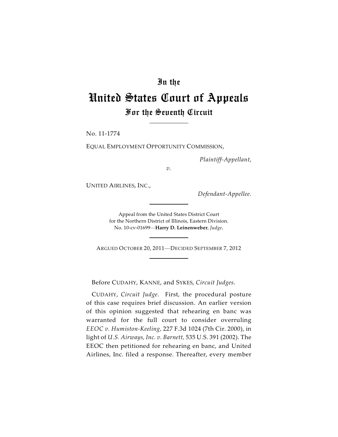## In the

## United States Court of Appeals For the Seventh Circuit

No. 11-1774

EQUAL EMPLOYMENT OPPORTUNITY COMMISSION,

*Plaintiff-Appellant*,

*v.*

UNITED AIRLINES, INC.,

*Defendant-Appellee*.

Appeal from the United States District Court for the Northern District of Illinois, Eastern Division. No. 10-cv-01699—**Harry D. Leinenweber**, *Judge*.

ARGUED OCTOBER 20, 2011—DECIDED SEPTEMBER 7, 2012

Before CUDAHY, KANNE, and SYKES, *Circuit Judges*.

CUDAHY, *Circuit Judge*. First, the procedural posture of this case requires brief discussion. An earlier version of this opinion suggested that rehearing en banc was warranted for the full court to consider overruling *EEOC v. Humiston-Keeling,* 227 F.3d 1024 (7th Cir. 2000), in light of *U.S. Airways, Inc. v. Barnett,* 535 U.S. 391 (2002). The EEOC then petitioned for rehearing en banc, and United Airlines, Inc. filed a response. Thereafter, every member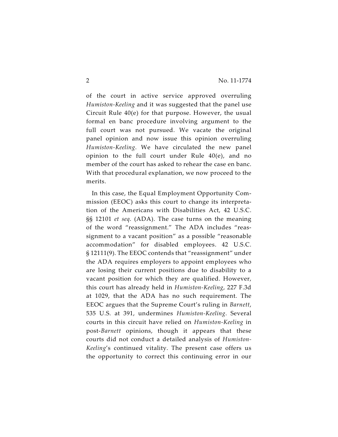of the court in active service approved overruling *Humiston-Keeling* and it was suggested that the panel use Circuit Rule 40(e) for that purpose. However, the usual formal en banc procedure involving argument to the full court was not pursued. We vacate the original panel opinion and now issue this opinion overruling *Humiston-Keeling*. We have circulated the new panel opinion to the full court under Rule 40(e), and no member of the court has asked to rehear the case en banc. With that procedural explanation, we now proceed to the merits.

In this case, the Equal Employment Opportunity Commission (EEOC) asks this court to change its interpretation of the Americans with Disabilities Act, 42 U.S.C. §§ 12101 *et seq*. (ADA). The case turns on the meaning of the word "reassignment." The ADA includes "reassignment to a vacant position" as a possible "reasonable accommodation" for disabled employees. 42 U.S.C. § 12111(9). The EEOC contends that "reassignment" under the ADA requires employers to appoint employees who are losing their current positions due to disability to a vacant position for which they are qualified. However, this court has already held in *Humiston-Keeling*, 227 F.3d at 1029, that the ADA has no such requirement. The EEOC argues that the Supreme Court's ruling in *Barnett*, 535 U.S. at 391, undermines *Humiston-Keeling*. Several courts in this circuit have relied on *Humiston-Keeling* in post-*Barnett* opinions, though it appears that these courts did not conduct a detailed analysis of *Humiston-Keeling*'s continued vitality. The present case offers us the opportunity to correct this continuing error in our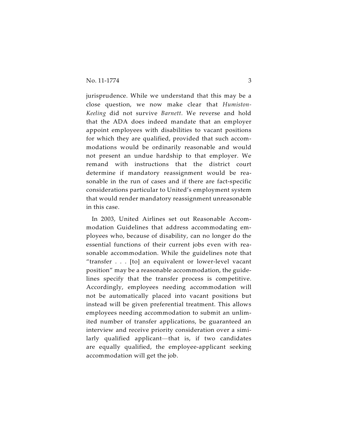jurisprudence. While we understand that this may be a close question, we now make clear that *Humiston-Keeling* did not survive *Barnett*. We reverse and hold that the ADA does indeed mandate that an employer appoint employees with disabilities to vacant positions for which they are qualified, provided that such accommodations would be ordinarily reasonable and would not present an undue hardship to that employer. We remand with instructions that the district court determine if mandatory reassignment would be reasonable in the run of cases and if there are fact-specific considerations particular to United's employment system that would render mandatory reassignment unreasonable in this case.

In 2003, United Airlines set out Reasonable Accommodation Guidelines that address accommodating employees who, because of disability, can no longer do the essential functions of their current jobs even with reasonable accommodation. While the guidelines note that "transfer . . . [to] an equivalent or lower-level vacant position" may be a reasonable accommodation, the guidelines specify that the transfer process is competitive. Accordingly, employees needing accommodation will not be automatically placed into vacant positions but instead will be given preferential treatment. This allows employees needing accommodation to submit an unlimited number of transfer applications, be guaranteed an interview and receive priority consideration over a similarly qualified applicant—that is, if two candidates are equally qualified, the employee-applicant seeking accommodation will get the job.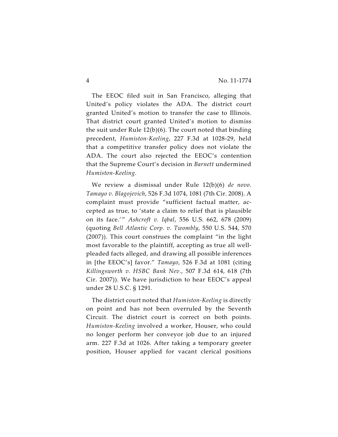The EEOC filed suit in San Francisco, alleging that United's policy violates the ADA. The district court granted United's motion to transfer the case to Illinois. That district court granted United's motion to dismiss the suit under Rule 12(b)(6). The court noted that binding precedent, *Humiston-Keeling*, 227 F.3d at 1028-29, held that a competitive transfer policy does not violate the ADA. The court also rejected the EEOC's contention that the Supreme Court's decision in *Barnett* undermined *Humiston-Keeling*.

We review a dismissal under Rule 12(b)(6) *de novo*. *Tamayo v. Blagojevich*, 526 F.3d 1074, 1081 (7th Cir. 2008). A complaint must provide "sufficient factual matter, accepted as true, to 'state a claim to relief that is plausible on its face.' " *Ashcroft v. Iqbal*, 556 U.S. 662, 678 (2009) (quoting *Bell Atlantic Corp. v. Twombly*, 550 U.S. 544, 570 (2007)). This court construes the complaint "in the light most favorable to the plaintiff, accepting as true all wellpleaded facts alleged, and drawing all possible inferences in [the EEOC's] favor." *Tamayo*, 526 F.3d at 1081 (citing *Killingsworth v. HSBC Bank Nev.*, 507 F.3d 614, 618 (7th Cir. 2007)). We have jurisdiction to hear EEOC's appeal under 28 U.S.C. § 1291.

The district court noted that *Humiston-Keeling* is directly on point and has not been overruled by the Seventh Circuit. The district court is correct on both points. *Humiston-Keeling* involved a worker, Houser, who could no longer perform her conveyor job due to an injured arm. 227 F.3d at 1026. After taking a temporary greeter position, Houser applied for vacant clerical positions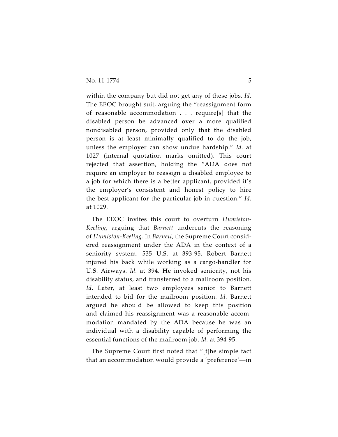within the company but did not get any of these jobs. *Id*. The EEOC brought suit, arguing the "reassignment form of reasonable accommodation . . . require[s] that the disabled person be advanced over a more qualified nondisabled person, provided only that the disabled person is at least minimally qualified to do the job, unless the employer can show undue hardship." *Id.* at 1027 (internal quotation marks omitted). This court rejected that assertion, holding the "ADA does not require an employer to reassign a disabled employee to a job for which there is a better applicant, provided it's the employer's consistent and honest policy to hire the best applicant for the particular job in question." *Id.* at 1029.

The EEOC invites this court to overturn *Humiston-Keeling*, arguing that *Barnett* undercuts the reasoning of *Humiston-Keeling*. In *Barnett*, the Supreme Court considered reassignment under the ADA in the context of a seniority system. 535 U.S. at 393-95. Robert Barnett injured his back while working as a cargo-handler for U.S. Airways. *Id.* at 394. He invoked seniority, not his disability status, and transferred to a mailroom position. *Id*. Later, at least two employees senior to Barnett intended to bid for the mailroom position. *Id.* Barnett argued he should be allowed to keep this position and claimed his reassignment was a reasonable accommodation mandated by the ADA because he was an individual with a disability capable of performing the essential functions of the mailroom job. *Id.* at 394-95.

The Supreme Court first noted that "[t]he simple fact that an accommodation would provide a 'preference'—in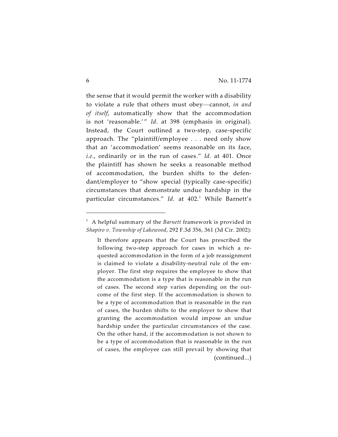the sense that it would permit the worker with a disability to violate a rule that others must obey—cannot, *in and of itself*, automatically show that the accommodation is not 'reasonable.'" *Id*. at 398 (emphasis in original). Instead, the Court outlined a two-step, case-specific approach. The "plaintiff/employee . . . need only show that an 'accommodation' seems reasonable on its face, *i.e.*, ordinarily or in the run of cases." *Id.* at 401. Once the plaintiff has shown he seeks a reasonable method of accommodation, the burden shifts to the defendant/employer to "show special (typically case-specific) circumstances that demonstrate undue hardship in the particular circumstances." *Id.* at 402.<sup>1</sup> While Barnett's

A helpful summary of the *Barnett* framework is provided in <sup>1</sup> *Shapiro v. Township of Lakewood*, 292 F.3d 356, 361 (3d Cir. 2002):

It therefore appears that the Court has prescribed the following two-step approach for cases in which a requested accommodation in the form of a job reassignment is claimed to violate a disability-neutral rule of the employer. The first step requires the employee to show that the accommodation is a type that is reasonable in the run of cases. The second step varies depending on the outcome of the first step. If the accommodation is shown to be a type of accommodation that is reasonable in the run of cases, the burden shifts to the employer to show that granting the accommodation would impose an undue hardship under the particular circumstances of the case. On the other hand, if the accommodation is not shown to be a type of accommodation that is reasonable in the run of cases, the employee can still prevail by showing that (continued...)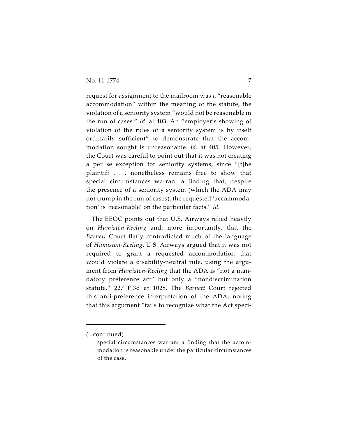request for assignment to the mailroom was a "reasonable accommodation" within the meaning of the statute, the violation of a seniority system "would not be reasonable in the run of cases." *Id.* at 403. An "employer's showing of violation of the rules of a seniority system is by itself ordinarily sufficient" to demonstrate that the accommodation sought is unreasonable. *Id.* at 405. However, the Court was careful to point out that it was not creating a per se exception for seniority systems, since "[t]he plaintiff . . . nonetheless remains free to show that special circumstances warrant a finding that, despite the presence of a seniority system (which the ADA may not trump in the run of cases), the requested 'accommodation' is 'reasonable' on the particular facts." *Id.*

The EEOC points out that U.S. Airways relied heavily on *Humiston-Keeling* and, more importantly, that the *Barnett* Court flatly contradicted much of the language of *Humiston-Keeling*. U.S. Airways argued that it was not required to grant a requested accommodation that would violate a disability-neutral rule, using the argument from *Humiston-Keeling* that the ADA is "not a mandatory preference act" but only a "nondiscrimination statute." 227 F.3d at 1028. The *Barnett* Court rejected this anti-preference interpretation of the ADA, noting that this argument "fails to recognize what the Act speci-

<sup>(...</sup>continued)

special circumstances warrant a finding that the accommodation is reasonable under the particular circumstances of the case.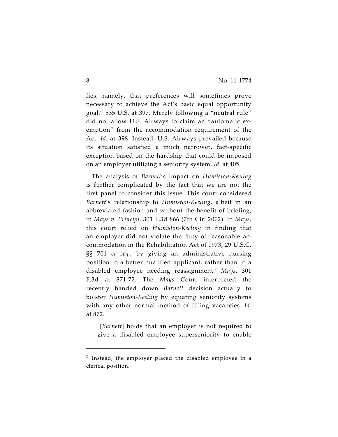fies, namely, that preferences will sometimes prove necessary to achieve the Act's basic equal opportunity goal." 535 U.S. at 397. Merely following a "neutral rule" did not allow U.S. Airways to claim an "automatic exemption" from the accommodation requirement of the Act. *Id.* at 398. Instead, U.S. Airways prevailed because its situation satisfied a much narrower, fact-specific exception based on the hardship that could be imposed on an employer utilizing a seniority system. *Id.* at 405.

The analysis of *Barnett*'s impact on *Humiston-Keeling* is further complicated by the fact that we are not the first panel to consider this issue. This court considered *Barnett*'s relationship to *Humiston-Keeling*, albeit in an abbreviated fashion and without the benefit of briefing, in *Mays v. Principi*, 301 F.3d 866 (7th Cir. 2002). In *Mays*, this court relied on *Humiston-Keeling* in finding that an employer did not violate the duty of reasonable accommodation in the Rehabilitation Act of 1973, 29 U.S.C. §§ 701 *et seq.*, by giving an administrative nursing position to a better qualified applicant, rather than to a disabled employee needing reassignment. *Mays*, 301 2 F.3d at 871-72. The *Mays* Court interpreted the recently handed down *Barnett* decision actually to bolster *Humiston-Keeling* by equating seniority systems with any other normal method of filling vacancies. *Id.* at 872.

 [*Barnett*] holds that an employer is not required to give a disabled employee superseniority to enable

 $2$  Instead, the employer placed the disabled employee in a clerical position.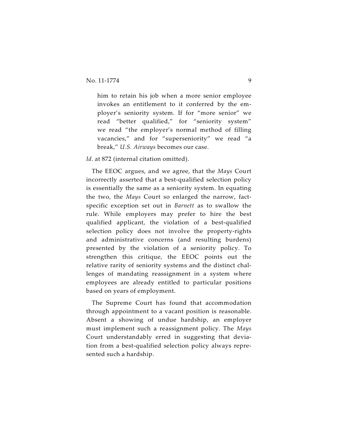him to retain his job when a more senior employee invokes an entitlement to it conferred by the employer's seniority system. If for "more senior" we read "better qualified," for "seniority system" we read "the employer's normal method of filling vacancies," and for "superseniority" we read "a break," *U.S. Airways* becomes our case.

*Id*. at 872 (internal citation omitted).

The EEOC argues, and we agree, that the *Mays* Court incorrectly asserted that a best-qualified selection policy is essentially the same as a seniority system. In equating the two, the *Mays* Court so enlarged the narrow, factspecific exception set out in *Barnett* as to swallow the rule. While employers may prefer to hire the best qualified applicant, the violation of a best-qualified selection policy does not involve the property-rights and administrative concerns (and resulting burdens) presented by the violation of a seniority policy. To strengthen this critique, the EEOC points out the relative rarity of seniority systems and the distinct challenges of mandating reassignment in a system where employees are already entitled to particular positions based on years of employment.

The Supreme Court has found that accommodation through appointment to a vacant position is reasonable. Absent a showing of undue hardship, an employer must implement such a reassignment policy. The *Mays* Court understandably erred in suggesting that deviation from a best-qualified selection policy always represented such a hardship.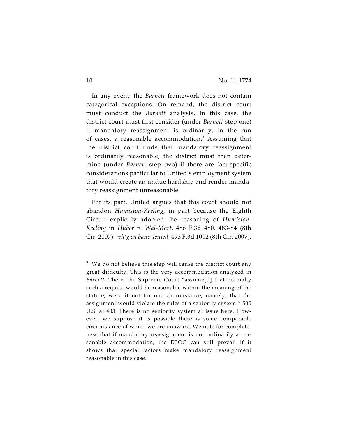In any event, the *Barnett* framework does not contain categorical exceptions. On remand, the district court must conduct the *Barnett* analysis. In this case, the district court must first consider (under *Barnett* step one) if mandatory reassignment is ordinarily, in the run of cases, a reasonable accommodation.<sup>3</sup> Assuming that the district court finds that mandatory reassignment is ordinarily reasonable, the district must then determine (under *Barnett* step two) if there are fact-specific considerations particular to United's employment system that would create an undue hardship and render mandatory reassignment unreasonable.

For its part, United argues that this court should not abandon *Humiston-Keeling*, in part because the Eighth Circuit explicitly adopted the reasoning of *Humiston-Keeling* in *Huber v. Wal-Mart*, 486 F.3d 480, 483-84 (8th Cir. 2007)*, reh'g en banc denied*, 493 F.3d 1002 (8th Cir. 2007)*,*

 $^3$  We do not believe this step will cause the district court any great difficulty. This is the very accommodation analyzed in *Barnett*. There, the Supreme Court "assume[d] that normally such a request would be reasonable within the meaning of the statute, were it not for one circumstance, namely, that the assignment would violate the rules of a seniority system." 535 U.S. at 403. There is no seniority system at issue here. However, we suppose it is possible there is some comparable circumstance of which we are unaware. We note for completeness that if mandatory reassignment is not ordinarily a reasonable accommodation, the EEOC can still prevail if it shows that special factors make mandatory reassignment reasonable in this case.